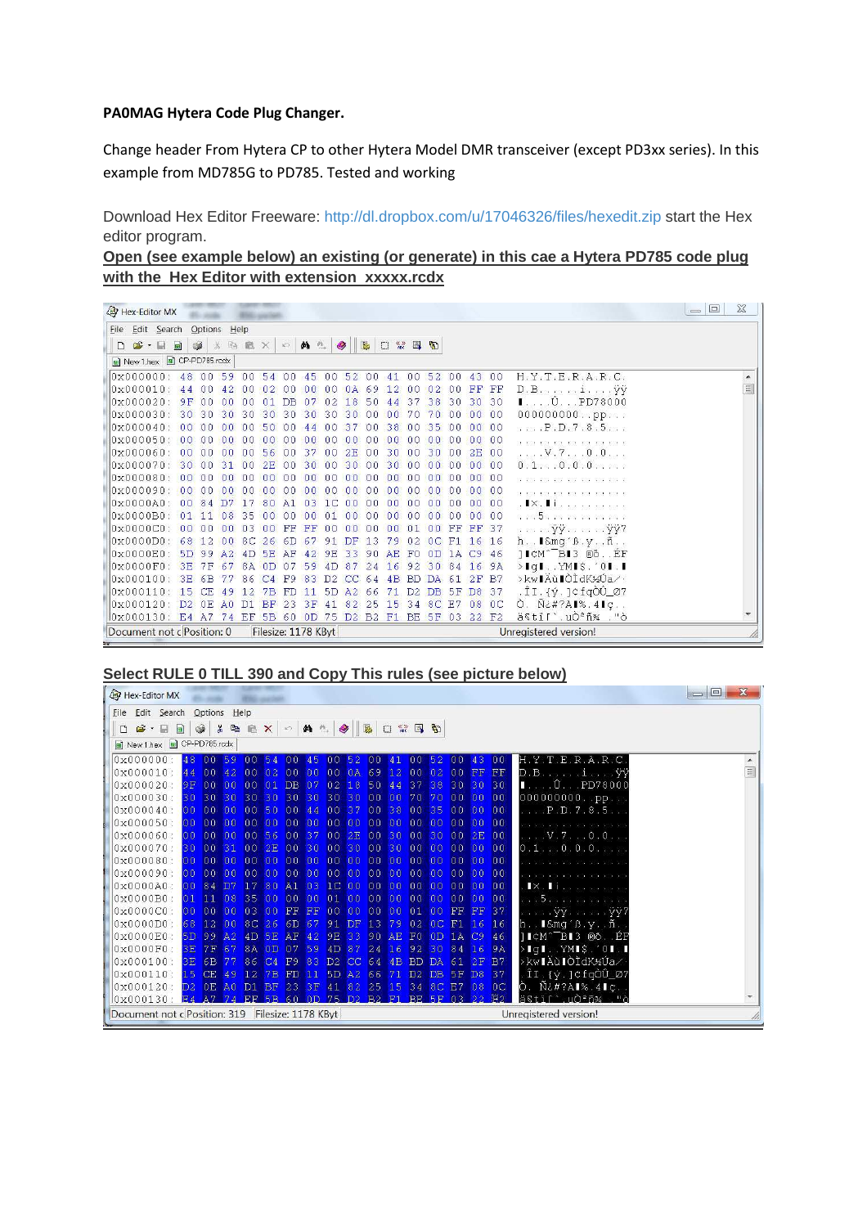### **PA0MAG Hytera Code Plug Changer.**

Change header From Hytera CP to other Hytera Model DMR transceiver (except PD3xx series). In this example from MD785G to PD785. Tested and working

Download Hex Editor Freeware: http://dl.dropbox.com/u/17046326/files/hexedit.zip start the Hex editor program.

| Open (see example below) an existing (or generate) in this cae a Hytera PD785 code plug |  |  |  |  |
|-----------------------------------------------------------------------------------------|--|--|--|--|
| with the Hex Editor with extension xxxxx.rcdx                                           |  |  |  |  |

|    | Hex-Editor MX                              |                 |                                  |                |                                     |                |                |                         |                |                |                |                |                |                |                |                   |                |                                                        | $\Sigma$<br>$=$ $\Box$ |
|----|--------------------------------------------|-----------------|----------------------------------|----------------|-------------------------------------|----------------|----------------|-------------------------|----------------|----------------|----------------|----------------|----------------|----------------|----------------|-------------------|----------------|--------------------------------------------------------|------------------------|
|    | File Edit Search Options Help              |                 |                                  |                |                                     |                |                |                         |                |                |                |                |                |                |                |                   |                |                                                        |                        |
| ہ∟ | $\mathbf{B}$ . $\mathbf{B}$ , $\mathbf{B}$ |                 | $\circledast$<br>$\frac{N}{100}$ |                | 电启× の A 4                           |                |                |                         |                |                |                |                | 口然日 9          |                |                |                   |                |                                                        |                        |
|    | New 1.hex 3 CP-PD785.rcdx                  |                 |                                  |                |                                     |                |                |                         |                |                |                |                |                |                |                |                   |                |                                                        |                        |
|    | $0 \times 000000$ : 48 00 59               |                 |                                  |                |                                     |                |                | 00 54 00 45 00 52 00 41 |                |                |                |                | 00 52 00       |                |                | 43 00             |                | $H, Y, T, E, R, A, R, C$ .                             |                        |
|    | $0 \times 000010$                          | 44              | n <sub>0</sub>                   | 42.            | nn                                  | 02             | nn             | n <sub>0</sub>          | 0 <sup>0</sup> | 0A             | 69             | 12             | 00             | 02             | 00             | FF                | FF             | $D.Biiy\ddot{y}$                                       | 目                      |
|    | $0 \times 000020$ :                        |                 | 9F00                             | 00             | 0 <sup>0</sup>                      | $01$ DB        |                |                         | 07 02          | 18             | 50             | 44             | 37             | 38 30          |                | 30 30             |                | $\blacksquare$ $0$ PD78000                             |                        |
|    | $0 \times 000030 : 30.30$                  |                 |                                  | 30             | 30                                  | 30             | 30             | 30                      | 30             | 30             | 0 <sub>0</sub> | n <sub>0</sub> | 70             | 70             | 0 <sub>0</sub> | 00 00             |                | 0000000000pp                                           |                        |
|    | $0 \times 000040$                          | n <sub>0</sub>  | n <sub>0</sub>                   | -nn            | n <sub>0</sub>                      | 50             | nn             | 44                      | nn             | 37             | n <sub>0</sub> | 38             | nn             | 35             | nn             | 0 <sup>0</sup>    | 0 <sup>0</sup> | P.D.7.8.5                                              |                        |
|    | 0x000050                                   | 0 <sup>0</sup>  | nn                               | 00             | 0 <sup>0</sup>                      | 00             | -00            | 00                      |                |                | 00             | nn             | 0 <sup>0</sup> | 00             | -00            | 00                | 0 <sup>0</sup> | 21 KG KG KG KG KG KG KG KG K                           |                        |
|    | $0 \times 000060$ :                        | 0 <sup>0</sup>  | nn                               | -nn            | 0 <sup>0</sup>                      | 56             | 00             | 37                      | 0 <sup>0</sup> | 2E             | 00             | 30             | 00             | 30             | 00             | 2E                | 00             | . V . 7 0 . 0                                          |                        |
|    | $0 \times 000070$                          | 30 <sup>°</sup> | 0 <sup>0</sup>                   | 31             | 0 <sup>0</sup>                      | 2E             | 0 <sub>0</sub> | 30                      | 0 <sub>0</sub> | 30             | 0 <sub>0</sub> | 30             | 0 <sup>0</sup> | 00             | 0 <sub>0</sub> | 00 00             |                | $0, 1, \ldots, 0, 0, 0, \ldots$                        |                        |
|    | $0 \times 0000080$ :                       | n <sub>0</sub>  | 0 <sup>0</sup>                   | n <sub>0</sub> |                                     | 0000           | n <sub>0</sub> | 0 <sup>0</sup>          | n <sub>0</sub> | n <sub>0</sub> | n <sub>0</sub> | n <sub>0</sub> | 0 <sup>0</sup> | 00             | 0 <sub>0</sub> | 0000              |                |                                                        |                        |
|    | $0 \times 000090$                          | 0 <sup>0</sup>  | n <sub>0</sub>                   | n <sub>0</sub> | 0 <sup>0</sup>                      | n <sub>0</sub> | n <sub>0</sub> | 0 <sub>0</sub>          | 0 <sup>0</sup> | 00             | 0 <sub>0</sub> | n <sub>0</sub> | 0 <sup>0</sup> | 00             | 00             | 0000              |                | a na na na na na na na n                               |                        |
|    | $0 \times 0000$ $A0$ :                     | 00              | 84                               | D7             | 17                                  | 80             | A1             | 03                      | 1 <sup>C</sup> | 00             | 00             | 00             | 0 <sup>0</sup> | 00             | 0 <sub>0</sub> | 00                | 0 <sup>0</sup> | IX. I I a company and a                                |                        |
|    | $0x0000B0$ :                               | $\bigcap$       | 11                               | 0.8            | 35                                  | n <sub>0</sub> | nn.            | n <sub>0</sub>          | 01             | nn             | 00             | n <sub>0</sub> | 0 <sup>0</sup> | 0 <sup>0</sup> | 00             | 00                | 0 <sup>0</sup> | n eni5n en en en en en e                               |                        |
|    | $0 \times 000000$ :                        | 0 <sup>0</sup>  | 0 <sup>0</sup>                   | nn             | 03                                  | nn             | FF             | FF                      | nn             | n <sub>0</sub> | 0 <sup>0</sup> | n <sub>0</sub> | 01             | 00             | FF             | FF                | 37             | а са са ўў са са са ўў7                                |                        |
|    | $0 \times 0000000$                         | 68              | 1.2                              | 00             | 8C 26                               |                | 6 <sub>D</sub> | 67                      | 91             | DF.            | 13             | 79             | 0 <sup>2</sup> | OCF1           |                | 16 16             |                | $h \ldots$ $l \delta mg' B. y \ldots \tilde{n} \ldots$ |                        |
|    | $0 \times 0000E0$ :                        | 5D              | 99                               | A2             | 4D                                  | 5 <sub>E</sub> | AF             | 42.                     | 9 <sub>E</sub> | 33             | 90             | A <sub>E</sub> | F <sub>0</sub> | 0 <sub>D</sub> | $1A$ $C9$      |                   | 46             | <b>ICM^BI3</b> @8EF                                    |                        |
|    | $0 \times 0000$ F $0$ :                    | 3E              | 7 F                              | 67             |                                     | 8A 0D          | 07             | 59                      | 4D             | 87             | 2.4            | 16             | 92             | 30             | 84             | 16                | 9A             | $>$ IqI. $YNIS.$ '0I.I                                 |                        |
|    | $0 \times 000100:$                         |                 | 3E 6B                            | 77             | 86                                  | C <sub>4</sub> | F9             | 83                      | D2             | CC             | 64             | 4B             | <b>BD</b>      | DA             | 61             | 2F                | <b>B7</b>      | >kwlAùlOldK½Úa/·                                       |                        |
|    | $0 \times 000110 : 15$                     |                 | <b>CE</b>                        | 49             | 12                                  | <b>7B</b>      | FD             | 11                      | 5 <sub>D</sub> | A <sup>2</sup> | 66             | 71             | D <sub>2</sub> | DB 5F          |                | D8 37             |                | .îI.{ý.]¢fqÒÛ_07                                       |                        |
|    | $0x000120$ : D <sub>2</sub>                |                 | 0F                               | AD             | D1                                  | <b>BF</b>      | 23             | 3F                      | 41             | 82             | 25             | 15             | 34             | 8C E7          |                | 08                | 0 <sup>C</sup> | $\hat{O}$ . $\tilde{N}\tilde{\epsilon}$ #?AI%.4Iç      |                        |
|    | 0x000130: E4 A7                            |                 |                                  |                | 74 EF 5B 60 0D 75 D2 B2 F1 BE 5F 03 |                |                |                         |                |                |                |                |                |                |                | 22 F <sub>2</sub> |                | ä§tïſ`.uÒºñ¾ ."ò                                       |                        |
|    | Document not c Position: 0                 |                 |                                  |                |                                     |                |                | Filesize: 1178 KByt     |                |                |                |                |                |                |                |                   |                | Unregistered version!                                  |                        |

## **Select RULE 0 TILL 390 and Copy This rules (see picture below)**

|    | Hex-Editor MX                                    |                |                |                                  |                |    |                |                  |                            |                 |                 |      |                 |                 |                      |                 |    |                                                        | $\Box$ | $\mathbf{x}$ |
|----|--------------------------------------------------|----------------|----------------|----------------------------------|----------------|----|----------------|------------------|----------------------------|-----------------|-----------------|------|-----------------|-----------------|----------------------|-----------------|----|--------------------------------------------------------|--------|--------------|
|    | Eile Edit Search Options Help                    |                |                |                                  |                |    |                |                  |                            |                 |                 |      |                 |                 |                      |                 |    |                                                        |        |              |
| ہ∟ | $\mathbf{E}$ . $\mathbf{E}$ $\mathbf{E}$         |                | $\circledcirc$ |                                  |                |    |                |                  | <b>&amp; B B X 0 A 4 9</b> |                 | 縣               | 口能马面 |                 |                 |                      |                 |    |                                                        |        |              |
|    | New 1.hex a CP-PD785.rcdx                        |                |                |                                  |                |    |                |                  |                            |                 |                 |      |                 |                 |                      |                 |    |                                                        |        |              |
|    | 0x000000:                                        | 48             | 00             |                                  | n <sub>0</sub> | 54 | 00             | 45               | 0 <sub>0</sub>             | 52              | 00 41           |      | 00              | 52              | 0 <sub>0</sub>       | 43              | 00 | H. Y. T. E. R. A. R. C.                                |        |              |
|    | $0 \times 000010$ : 44                           |                | 00             | 42 00 02                         |                |    | 00             | 00               | 00                         |                 | 0A 69 12        |      | 00 <sub>0</sub> | 02              | 00 FF FF             |                 |    | $D.B. \ldots 1 \ldots VV$                              |        | 国            |
|    | $0 \times 000020$                                | 9F.            | 00             | 000001                           |                |    | D <sub>B</sub> | 07               | 02                         | 18              | 50 44           |      |                 | 37 38           | 30 30 30             |                 |    | $\blacksquare$ 0PD78000                                |        |              |
|    | $0 \times 000030$                                | 30             | 30             | 30 30 30                         |                |    |                | 30 30 30         |                            |                 | 30 00 00        |      | 70              | 70              | 0000                 |                 | 00 | 000000000pp                                            |        |              |
|    | $0 \times 000040$                                | 00             | 00             |                                  | 00 00 50       |    |                | 00.44            | 00                         | 37              | 00 38           |      | 00              | 35              | 00                   | 0000            |    | P.D.7.8.5                                              |        |              |
|    | 0x000050                                         | 00             | 00             | 000000                           |                |    |                | 000000           |                            | 00              | 0000            |      | 00              | 00              | 00                   | $00$ 00         |    | who will will will will                                |        |              |
|    | 0x000060                                         | 00             | 0 <sup>0</sup> | 00 00 56                         |                |    | 00             | 37               | 00                         | 2E              | 0030            |      | 0 <sup>0</sup>  | 30 <sup>°</sup> | 00                   | $2E$ 00         |    | $\ldots$ $\nabla$ . 7 $\ldots$ 0 . 0                   |        |              |
|    | 0x000070                                         | 30             | 0 <sub>0</sub> | 31                               | 002E           |    | 00             | 30 <sub>1</sub>  | 00                         | 30 <sup>°</sup> | 0030            |      | 00              | 00              | 00                   | 00              | 00 | 0.10.0.0                                               |        |              |
|    | 0x000080:                                        | 00             | 00             |                                  | 00 00 00       |    |                | 0000             | 00                         | 00              | 0000            |      | 00              | 00              | 00                   | 00 <sup>o</sup> | 00 |                                                        |        |              |
|    | 0x000090                                         | 00             | 00             | 000000                           |                |    | 00             | 00               | 00                         | 00              | 0000            |      | 00              | 00              | 00                   | 00              | 00 |                                                        |        |              |
|    | $0x0000A0$ :                                     | 00             | 84             | D7                               | 17 80          |    | A1             | 03               | $1C$ 00                    |                 | 0000            |      | 00 <sub>1</sub> | 00 <sup>1</sup> | 00                   | 00              | 00 | $\mathbf{I} \times \mathbf{I}$                         |        |              |
|    | $0x0000B0$ :                                     | $\sqrt{01}$    | $\blacksquare$ | 08 35 00                         |                |    | 00             | 00               | 0100                       |                 | 0000            |      | 00              | 00 <sup>o</sup> | 0 <sup>0</sup>       | 00              | 00 | $\cdot \cdot 5$                                        |        |              |
|    | $0x0000C0$ :                                     | 00             | 00             | 000300                           |                |    |                | FF FF 00         |                            | 00              | 0000            |      |                 | 0100            | <b>FF</b>            | FF 37           |    | . ÿÿ. ÿÿ7                                              |        |              |
|    | $0 \times 0000000$                               | 68             | 12             | 00 8C 26                         |                |    |                | 6D <sub>67</sub> | $91$ DF                    |                 | 13 <sup>°</sup> | 79   |                 | 02 OC           | F1                   | 16              | 16 | $h \ldots$ L&mg $B \ldotp y \ldotp \ldotp \tilde{n}$ . |        |              |
|    | $0x0000E0$ :                                     | 5D 99          |                | A <sub>2</sub> 4D <sub>5</sub> E |                |    |                | $AF$ 42          | 9E                         | 33              | $90 \text{ AF}$ |      | F <sub>0</sub>  | 0D              | 1A C <sub>9</sub> 46 |                 |    | 1I¢M^ <sup>-B</sup> I3 ®Õ. EF                          |        |              |
|    | 0x0000F0                                         | 3E             | 7F             | 67                               | 8A 0D          |    | 07             | 59               | 4D                         | 87              | 24              | 16   | 92              | 30              | 84                   | 16              | 9A | $>$ IqI., YMI\$. $'0$ I.I                              |        |              |
|    | $0 \times 000100$                                | B <sub>E</sub> |                | 6B 77 86 C4                      |                |    | F9             | 83               | D2                         | cc              | 64              | 4B   | <b>BD</b>       | DA.             | 61                   | $2F$ B7         |    | >kwlAùlÒÌdK½Úa∕                                        |        |              |
|    | $0 \times 000110$ $15$                           |                | CE.            | 49                               | 12             | 7B | <b>FD</b>      | 11               | 5D                         | A2              | 66              | 71   | D2              | DB 5F           |                      | D <sub>8</sub>  | 37 | ÎI (ý.]¢fqÒÛ_Ø7                                        |        |              |
|    | $0x000120$ :                                     | D2             | OE AO D1 BF    |                                  |                |    |                | 23 3F 41         |                            | 82              | 25, 15          |      |                 | 34 8C E7 08     |                      |                 | 0C | Ò. N¿#?AI% 4Iç.                                        |        |              |
|    | $0 \times 000130$ $R_4$                          |                | $\Delta$ 7     |                                  |                |    |                |                  | EF 5B 60 0D 75 D2 B2 F1    |                 |                 |      |                 | BE 5F 03 22     |                      |                 | F2 | ä§tïſ`.uÒªñ% ."ò                                       |        |              |
|    | Document not c Position: 319 Filesize: 1178 KByt |                |                |                                  |                |    |                |                  |                            |                 |                 |      |                 |                 |                      |                 |    | Unregistered version!                                  |        |              |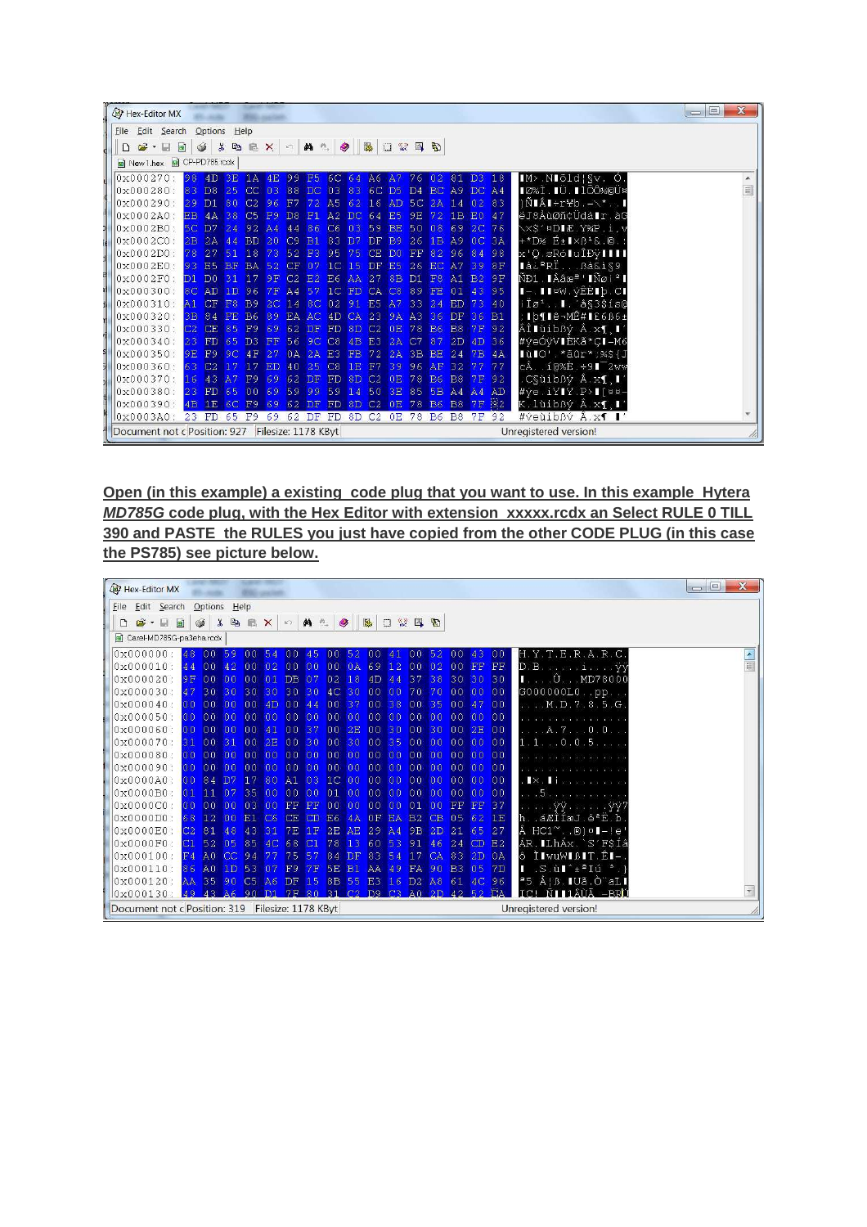| Hex-Editor MX                                    |   |                |                |                |                       |                |                |                                      |                  |                   |                   |                |                 |                |                |                |    |                                                         | $\chi$<br>$=$ $\boxed{2}$ |
|--------------------------------------------------|---|----------------|----------------|----------------|-----------------------|----------------|----------------|--------------------------------------|------------------|-------------------|-------------------|----------------|-----------------|----------------|----------------|----------------|----|---------------------------------------------------------|---------------------------|
| File Edit Search                                 |   |                | Options        | $He$ lp        |                       |                |                |                                      |                  |                   |                   |                |                 |                |                |                |    |                                                         |                           |
| $\mathbb{Z}$ .                                   | 圖 |                | $\circledcirc$ |                |                       |                |                | <b>X the E X   0   M &amp;   Q  </b> |                  |                   | <b>BA</b>         | 口 然 国 和        |                 |                |                |                |    |                                                         |                           |
| New 1.hex 3 CP-PD785.rcdx                        |   |                |                |                |                       |                |                |                                      |                  |                   |                   |                |                 |                |                |                |    |                                                         |                           |
| 0x000270:                                        |   | 98             | 4D             | 3E             |                       | $1A$ $4E$      |                | 99 F5 6C 64 A6 A7 76 02 81 D3        |                  |                   |                   |                |                 |                |                |                | 18 | IM > NIõId   Sv. O.                                     |                           |
| 0x000280:                                        |   | 83             | DS             | 25             | $CC$ $03$             |                |                | 88 DC 03 83                          |                  |                   | 6C D5             |                |                 | D4 BC A9 DC A4 |                |                |    | ∎Ø%Ì.∎Ü.∎lÕÔ½©Ü¤                                        | $\equiv$                  |
| 0x000290:                                        |   | 29             | D1             | 80             | C <sub>2</sub>        | 96             | F7             |                                      | A <sub>5</sub>   | 62                | 16                | AD             | 5 <sub>C</sub>  | 2A             | 14             | 02             | 83 | $ \tilde{N} \hat{A}$ - $rYb. - \sqrt{x}$ .              |                           |
| $0x0002A0$ :                                     |   | EB 4A          |                | 38             | C5                    | F <sub>9</sub> | DS             | $E_{\rm F1}$                         | A2               | DC                | 64                | E <sub>5</sub> | 9E              | 72             | 1B             | E0 47          |    | ëJ8ÅùØñ¢Üdå∎r.àG                                        |                           |
| $0 \times 0002B0$ :                              |   | 5C D7          |                | 2.4            | $92\text{ A}4$        |                | 44             | 86                                   | C6               | 03                | 59                | <b>BE</b>      | 50 <sub>o</sub> | 08             | 69             | 2C 76          |    | \x\$'¤DIÆ.Y%P.i.v                                       |                           |
| $0x0002C0$ :                                     |   | 2B             | 2A             | 44             | <b>BD</b>             | 20             | C9             | <b>B1</b>                            | 83               | D <sub>7</sub>    | <b>DF</b>         | B <sup>9</sup> | 26              | 1B             | A9             | 0 <sup>C</sup> | 3A | $+$ *D½ $E$ + $\blacktriangleright$ B <sup>+</sup> &.©. |                           |
| 0x0002D0:78                                      |   |                | 27             | 51             | 18                    | 73             | 52             | F <sub>3</sub>                       | 95               | 75                | CE                | -DO            | FF              | 82             | 96             | 84 98          |    | x'Q sRó∎uÎĐÿ∎∎∎                                         |                           |
| 0x0002E0:93                                      |   |                | <b>E5</b>      | <b>BF</b>      | <b>BA</b>             | 52             | $\Gamma$       |                                      | $\Box$ C         | 15                | DF                | E <sub>5</sub> | 26              | EC A7          |                | 398F           |    | ∎忺RÏBå&ì§9                                              |                           |
| $0x0002F0$ :                                     |   | D1             | n <sub>0</sub> | 31             | (17)                  | 9F             | C <sub>2</sub> | E2                                   | E6               | <b>AA</b>         | 27                | 8B             | D1              | F8             | A1             | <b>B2</b>      | 9F | ÑĐ1.∎Ââæª'∎Ñøiª∎                                        |                           |
| $10x000300$ :                                    |   | 8 <sup>C</sup> | <b>AD</b>      | 1 <sub>D</sub> | 96                    | 7F             | $\Delta$ 4     |                                      | $\mathbf{1} \in$ | FD                | CA                | C8             | 89              | FE.            | 01             | 43             | 95 | I–.II¤W.ýÊÈIþ.CI                                        |                           |
| $ 0x000310:$ A1                                  |   |                | CF             | F8             | <b>B</b> <sub>9</sub> | 2C             | 14             | 8C                                   | 02               | 91 E <sub>5</sub> |                   | A7             | 33              | 24             | ED             | 73             | 40 | $iI\varnothing$ <sup>1</sup> , $I$ . $a$ §3\$1s0        |                           |
| $0x000320$ :                                     |   | 3B             | 84             | <b>FE</b>      | B6 89                 |                | EA             | AC                                   | 4D CA            |                   | 23                | 9A             | A3              | 36 DF          |                | 36             | B1 | ;   þ¶   ê-MÊ#   £6B6±                                  |                           |
| 0x000330:                                        |   | C2             | <b>CE</b>      | 85             | F9                    | 69             | 62             | DF                                   | <b>FD</b>        | 8D                | C2                | 0E             | 78              | <b>B6</b>      | B <sub>8</sub> | 7F 92          |    | ÂÎ∎ùibßý Â.x¶,∎′                                        |                           |
| 0x000340:                                        |   | 23             | <b>FD</b>      | 65             | n <sup>3</sup>        | FF             | 56             | 9C                                   | C8               | 4B                | E3                | 2A             | C7              | 87             | 2D             | 4D 36          |    | #yeÓÿVIÈKã*CI-M6                                        |                           |
| $0x000350$ :                                     |   | 9E.            | F9             | 9C             | 4F                    | 2.7            | 0A             | 2A                                   | F3               | <b>FB</b>         | 72                | 2A             | 3B              | BE.            | 24             | 7B             | 4A | lùlO' * aûr * ; %\$ {J                                  |                           |
| $0x000360$ :                                     |   | 63.            | C2             | 17             |                       | ED             | 40             | 25                                   | C8               | 1E                | F7                | 39             | 96              | AF.            | 32             |                | 77 | cÂ10%È.÷9∎ <sup>-2</sup> ww                             |                           |
| $0x000370$ :                                     |   | 16             | 43             | A7             | F <sub>9</sub>        | 69             |                | 62 DF                                | FD.              | 8D                | C <sub>2</sub>    | 0E             | 78              | <b>B6</b>      | B8             | 7F 92          |    | .C§ùibßý Â.x¶.∎′                                        |                           |
| $0x000380$ : 23                                  |   |                | FD 65          |                | 0069                  |                |                | 59 99                                | 59 14            |                   | 50                | 3E             |                 | 85 5B A4 A4 AD |                |                |    | #ye.iYIY.P>I[¤¤-                                        |                           |
| 0x000390: 4B 1E 6C F9                            |   |                |                |                |                       | 69             |                | 62 DF                                | FD 8D C2 OE      |                   |                   |                |                 | 78 B6          | <b>B8</b>      | 7F 92          |    | K lùibßý Â x¶ ∎′                                        |                           |
| $0x0003A0$ :                                     |   |                | 23 FD 65 F9    |                |                       | 69             |                | 62 DF FD                             |                  |                   | 8D C <sub>2</sub> |                |                 | 0E 78 B6 B8    |                | 7F             | 92 | #veuibBv A.x1 I'                                        |                           |
| Document not c Position: 927 Filesize: 1178 KByt |   |                |                |                |                       |                |                |                                      |                  |                   |                   |                |                 |                |                |                |    | Unregistered version!                                   |                           |

**Open (in this example) a existing code plug that you want to use. In this example Hytera MD785G code plug, with the Hex Editor with extension xxxxx.rcdx an Select RULE 0 TILL 390 and PASTE the RULES you just have copied from the other CODE PLUG (in this case the PS785) see picture below.** 

| Hex-Editor MX                                                                                     |     |                |                             |               |    |                               |                 |       |                |                            |           |                 |                 |                 |                |                   |                                            | $\mathbf{x}$<br>$\overline{\phantom{a}}$ |
|---------------------------------------------------------------------------------------------------|-----|----------------|-----------------------------|---------------|----|-------------------------------|-----------------|-------|----------------|----------------------------|-----------|-----------------|-----------------|-----------------|----------------|-------------------|--------------------------------------------|------------------------------------------|
| Eile Edit Search Options                                                                          |     |                |                             | Help          |    |                               |                 |       |                |                            |           |                 |                 |                 |                |                   |                                            |                                          |
| $\begin{array}{c c c c c c} \hline \mathbf{G} & \mathbf{G} & \mathbf{H} & \mathbf{H} \end{array}$ |     | $\circledcirc$ | <b>X DB X 0 M &amp; 9 B</b> |               |    |                               |                 |       |                |                            |           | 口然国的            |                 |                 |                |                   |                                            |                                          |
| Carel-MD785G-pa3eha.rcdx                                                                          |     |                |                             |               |    |                               |                 |       |                |                            |           |                 |                 |                 |                |                   |                                            |                                          |
| $0 \times 000000$                                                                                 | 48  | 00             | 59                          | 00            | 54 | 00 <sup>°</sup>               | 45              | 00 52 |                | 00 41                      |           | 00 <sup>°</sup> | 52              | 00              | 43             | 00                | H. Y. T. E. R. A. R. C.                    |                                          |
| $0 \times 000010$ : 44                                                                            |     |                | $00\quad 42$                | 00            | 02 | 0000                          |                 | 00    |                | 0A69                       | 12        | 00 <sub>1</sub> | 02              | 00 FF FF        |                |                   | D.Biy                                      | $\frac{\triangle}{\Box}$                 |
| $0 \times 000020$                                                                                 | 9 F | 00             |                             | 0000          | 01 | DB 07                         |                 | 02    | 18             | $4D$ $44$                  |           | 37 38           |                 | 30 <sub>1</sub> | 30 30          |                   | $\blacksquare$ $0.$ MD78000                |                                          |
| $0 \times 000030$                                                                                 | 47  |                | 30 30 30 30                 |               |    | 30 <sup>°</sup>               | 30 <sup>°</sup> |       |                | 4C 30 00 00                |           | 70 70           |                 | 000000          |                |                   | G000000L0pp                                |                                          |
| $0 \times 000040$                                                                                 | 00  | 00             | 00                          | $00 \quad 4D$ |    | 00                            | 44              | 00    | 37             | 00 38                      |           | 00              | 35              | 00              | 47             | 00                | M.D.7.8.5.G.                               |                                          |
| $0x000050$ :                                                                                      | 00  |                | 000000000                   |               |    | 0000                          |                 | 00    | n <sub>0</sub> | 0000                       |           | 00              | 00              | 00              | 0000           |                   |                                            |                                          |
| $0 \times 000060$                                                                                 | 00  | 00             | 00                          | 00            | 41 | 00                            | 37              | 00    | 2E             | 00                         | 30        | 00              | 30              | $\sqrt{00}$     | 2E 00          |                   | . A. 7 0 . 0                               |                                          |
| 0x000070                                                                                          | 31  | 0 <sup>0</sup> | 31                          | 00            | 2E | 00                            | 30              | 00    | 30             | 0035                       |           | 00 <sub>1</sub> | 00              | 00              | 0000           |                   | 1.1.0.0.5                                  |                                          |
| 0x000080                                                                                          | 00  | 00             | 00                          | 00            | 00 | 00                            | 0 <sup>0</sup>  | 00    | 00             | 0000                       |           | 00 <sup>°</sup> | 00 <sup>o</sup> | 00              | 0000           |                   |                                            |                                          |
| 0x000090:                                                                                         | 00  | 00             | n <sub>0</sub>              | 00            | 00 | 00 00                         |                 | 0000  |                | 00 00                      |           |                 | 0000            | 00 <sup>1</sup> | $00$ 00        |                   |                                            |                                          |
| 0x000000                                                                                          | 00  | 84             | D7                          | 17 80         |    | $A1$ 03                       |                 |       |                | IC 00 00 00                |           | 0000            |                 | 00              | 00000          |                   | $\mathbf{X}$ .                             |                                          |
| $\log 0000B0$                                                                                     | 01  | 11             |                             | 07 35 00      |    | 00 <sub>1</sub>               | 00              | 01    | 00             | 0000                       |           | 00 <sub>1</sub> | 00              | 00              | 0000           |                   | $\cdot$ . 5.                               |                                          |
| $0x0000C0$ :                                                                                      | 00  |                | 0000                        | 03 00         |    | FF FF                         |                 | 0000  |                | 0000                       |           | 01              | 00 <sup>o</sup> | <b>FF</b>       | FF 37          |                   |                                            |                                          |
| $0x0000D0$ :                                                                                      | 68  | 12             | 00                          | E1 C6         |    | CE                            | CD              | E6    | 4A             | 0F                         | <b>EA</b> | B <sub>2</sub>  | CB              |                 | 05 62 1E       |                   | háÆÎÍæJ.êºË.b                              |                                          |
| 0x0000E0                                                                                          | C2  | 81             | 48                          | 43            | 31 | <b>7E</b>                     | 1F              | 2E    | A <sub>F</sub> | 29                         | AA        | 9B 2D           |                 | $ 21\rangle$    | 65 27          |                   | Ã<br>$HC1^\sim$ . .0) $H - le'$            |                                          |
| $0x0000F0$ :                                                                                      | C1  | 52             | 05                          | 85 4C         |    | 68                            | C1              | 78    | 13             | $60^{\circ}$               | 53        |                 | $91 \quad 46$   | 24              | CD E2          |                   | ÁR MLhÁx S'FSÍâ                            |                                          |
| $0 \times 000100$ : $F4$                                                                          |     | A <sub>0</sub> |                             | $CC$ 94       |    | 75                            | 57              | 84    | DF             | 83                         | 54        | 17              | CA              |                 | $83$ $2D$ $0A$ |                   | ô Ì∎wuW∎ß∎T.Ê∎—                            |                                          |
| $0x000110$ :                                                                                      | 86  | A <sub>0</sub> | 1 <sub>D</sub>              | 53            | 07 | F <sub>9</sub>                | 7F              | 5E    | <b>B1</b>      | AA.                        | 49        | FA 90           |                 | <b>B3</b>       | 05             | 7D                | .S.ù∎^±ªIú °.)<br>ш                        |                                          |
| $0 \times 000120$ $AA$                                                                            |     |                | 35 90 C5 A6 DF 15           |               |    |                               |                 |       |                | 8B 55 E3 16 D2 A8 61 4C 96 |           |                 |                 |                 |                |                   | $=5$ Å B. U<br>$\ddot{a}$ . $\ddot{O}$ all |                                          |
| 0x000130                                                                                          |     |                | 49 43 A6 90 D1              |               |    | 7F 80 31 C2 D9 C3 A0 2D 42 52 |                 |       |                |                            |           |                 |                 |                 |                | $\Gamma$ $\Delta$ | IC! ÑIIlÂÙÃ -BRÚ                           |                                          |
| Document not c Position: 319 Filesize: 1178 KByt                                                  |     |                |                             |               |    |                               |                 |       |                |                            |           |                 |                 |                 |                |                   | Unregistered version!                      |                                          |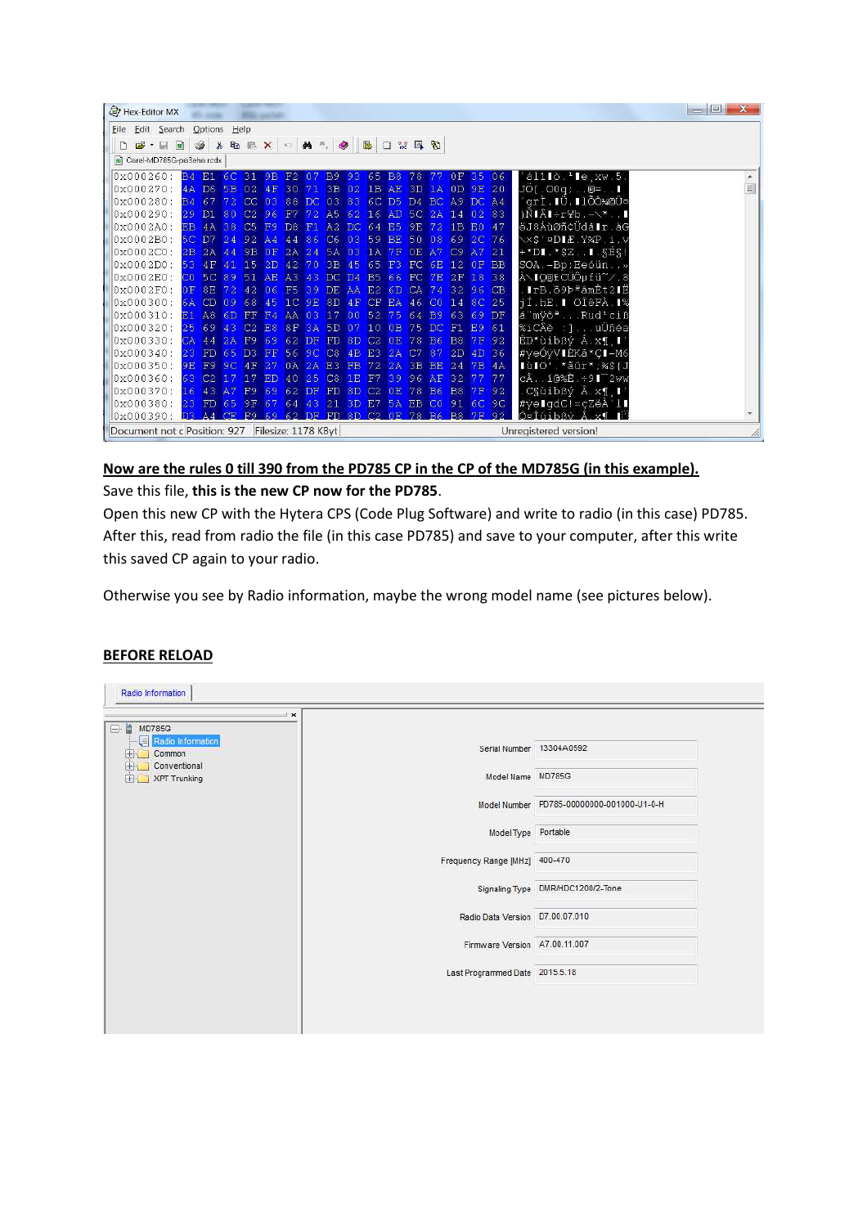|   | Hex-Editor MX                                    |     |                 |                         |                |                   |           |                            |                |                |          |                     |                 |                                          |           |                |                |          |                                                                                | $\mathbf{x}$<br>$\Box$ e |
|---|--------------------------------------------------|-----|-----------------|-------------------------|----------------|-------------------|-----------|----------------------------|----------------|----------------|----------|---------------------|-----------------|------------------------------------------|-----------|----------------|----------------|----------|--------------------------------------------------------------------------------|--------------------------|
|   | Eile Edit Search                                 |     |                 | Options                 | Help           |                   |           |                            |                |                |          |                     |                 |                                          |           |                |                |          |                                                                                |                          |
| D | $\mathbf{E} \cdot \mathbf{H}$                    |     |                 | S.                      |                |                   |           | <b>&amp; B E X 0 A 1 9</b> |                |                |          | 熙                   |                 | $\Box \quad \cong \quad \Box \quad \Box$ |           |                |                |          |                                                                                |                          |
|   | Carel-MD785G-pa3eha.rcdx                         |     |                 |                         |                |                   |           |                            |                |                |          |                     |                 |                                          |           |                |                |          |                                                                                |                          |
|   | 0x000260:                                        |     | B4              | E1                      | 6C             | 31 9B             |           | F <sub>2</sub> 07          |                | <b>B</b> 9     | 93       | $65$ B <sub>8</sub> |                 | 78                                       | 77        | 0F             | 35             | 06       | $i$ ál1 $i$ ð. $i$ le, $xw.5$ .                                                |                          |
|   | 0x000270                                         |     | 4A              | D6 5B                   |                | 02.4F             |           | 30                         | 71             | 3B 02          |          | 1B AE               |                 |                                          | 3D 1A     | 0D 9E 20       |                |          | JO[.00q; .0=1                                                                  | $\equiv$                 |
|   | 0x000280                                         |     | BA              | 67                      | 72.            | $CC$ $03$         |           | 88                         | DC.            | 03             | 83       | 6C D5               |                 |                                          | D4 BC A9  |                | DC A4          |          | qrÌ.∎Ü.∎lÕÔ¼©Ü¤                                                                |                          |
|   | 0x000290:                                        | 2.9 |                 | D1                      | 80             | $C2$ 96           |           | F7                         |                | 72 A5 62 16 AD |          |                     |                 |                                          |           | 5C 2A 14 02 83 |                |          | $)\tilde{N}$ $\hat{A}$ $\div$ $\div$ $\div$ $\times$ $\cdot$ $\cdot$ $\bullet$ |                          |
|   | 0x0002A0                                         | EB  |                 | 4A                      | 38             | C5                | F9        | D8                         | F1.            | A2             | DC.      | 64                  | E <sub>5</sub>  | 9E                                       | 72        | 1B             | E <sub>0</sub> | 47       | ëJ8ÅùØñ¢Üdå∎r.àG                                                               |                          |
|   | $\log 0002B0$ :                                  |     |                 | 5C D7 24                |                | $92\overline{A4}$ |           | 44                         | 86             | C6             | 03       | 59 BE               |                 | 50 08                                    |           | 69             | 2C 76          |          | \×\$'¤D∎Æ.Y%P.i.v                                                              |                          |
|   | $0 \times 0002$ C0:                              | 2B  |                 | $2A$ 44                 |                | 9B 0F             |           | 2A 24                      |                | 5A             | 03       | $1A$ $7F$           |                 |                                          | $OE$ $A7$ | C <sub>9</sub> | A7 21          |          | $+$ *DI $.$ *\$Z. I. SÉS!                                                      |                          |
|   | $0x0002D0$ :                                     |     | 53              | 4F 41                   |                | $15$ $2D$         |           | 42 70                      |                | 3B 45          |          | 65 F3               |                 |                                          |           | FC 6E 12 0F BB |                |          | SOA.-Bp:Eeóün»                                                                 |                          |
|   | 0x0002E0                                         |     | CO <sub>2</sub> | 5C 89 51 AE A3 43 DC D4 |                |                   |           |                            |                |                |          |                     | <b>B5 66 FC</b> |                                          |           | 7E 2F          | 18 38          |          | À∖IQ®ECÜÔµfü~⁄8                                                                |                          |
|   | 0x0002F0                                         |     | 0F              | 8E                      | 72.            | 42 <sup>°</sup>   | 06        | F <sub>5</sub>             | 39             | DE AA          |          | E2                  | 6D              | CA                                       | 74        | 32 96 CB       |                |          | .∎rB.õ9ÞªâmÊt2∎Ë                                                               |                          |
|   | 0x000300                                         |     | 6A              | CD                      | n <sub>9</sub> | 68 45             |           | $IC$ $9E$                  |                | 8D             | 4F       | CF EA               |                 | 46                                       | CO        | 14 8C 25       |                |          | jí.hE. OIêFÀ. 1%                                                               |                          |
|   | 0x000310                                         |     | E1              | A8 6D FF F4             |                |                   |           | AA 03 17                   |                |                | 00       | 52 75               |                 |                                          | 64 B9     | 63 69 DF       |                |          | á mÿôªRud <sup>1</sup> ciß                                                     |                          |
|   | 0x000320                                         |     | 25              | 69                      | 43             | C2                | <b>E8</b> | 8F                         | $\mathbb{R}^2$ | 5D             | 07       | $10^{\circ}$        | 0B              | 75                                       | DC.       | F1             | E9             | 61       | %iCÂè :]uÜñéa                                                                  |                          |
|   | $0 \times 000330$                                |     | CA              | 44                      | 2A             | F <sub>9</sub>    | 69        | 62                         | DF             | FD             | 8D       | C2                  | 0E              | 78                                       | <b>B6</b> | <b>B8</b>      | 7F             | 92       | ÊD*ùibßý Â.x¶, I'                                                              |                          |
|   | 0x000340                                         | 2.3 |                 | FD 65 D3 FF             |                |                   |           | 56 9C                      |                | C8             | 4B       | E3 2A               |                 | C7                                       | 87        |                | 2D 4D 36       |          | #yeÓyVIÈKã*CI-M6                                                               |                          |
|   | $10 \times 000350$                               |     | 9 <sub>E</sub>  | F9                      |                | $9C$ $4F$         | 27        | 0A                         | 2A             | E3             | FB.      | $72\quad2A$         |                 | 3B BE                                    |           | 24             | $7B$ $4A$      |          | lùlo' *ãûr*;%\${J                                                              |                          |
|   | 0x000360                                         |     | 63              | $C2$ 17                 |                | 17 ED             |           | 40 <sup>°</sup>            | 25             | C8             | 1E       | F7 39               |                 |                                          | 96 AF 32  |                | 77             | 77       | $c\hat{A}$ 10% $\hat{E}$ 91 <sup>-2</sup> ww                                   |                          |
|   | 0x000370                                         |     | 16              | 43 A7 F9                |                |                   | 69        | 62                         | <b>DF</b>      | FD             | 8D       | C <sub>2</sub>      | 0E              | 78                                       | <b>B6</b> | <b>B</b> 8     | 7F             | 92       | .C§ùibßý Â.x¶.∎′                                                               |                          |
|   | 0x000380                                         | 23  |                 | FD 65                   |                | 9F 67             |           | 64 43                      |                | 21             | 3D E7 5A |                     |                 | EB CO                                    |           |                |                | 91 6C 9C | #yelgdC!=çZëÀ'll                                                               |                          |
|   | 0x000390:                                        |     | D <sub>3</sub>  | $A4$ CE                 |                | F9 69             |           | $62$ DF                    |                |                |          |                     |                 | FD 8D C2 0E 78 B6                        |           | <b>B8 7F</b>   |                |          | Ó¤Îùibßý Â.x¶                                                                  |                          |
|   | Document not c Position: 927 Filesize: 1178 KByt |     |                 |                         |                |                   |           |                            |                |                |          |                     |                 |                                          |           |                |                |          | Unregistered version!                                                          |                          |

# **Now are the rules 0 till 390 from the PD785 CP in the CP of the MD785G (in this example).**

Save this file, **this is the new CP now for the PD785**.

Open this new CP with the Hytera CPS (Code Plug Software) and write to radio (in this case) PD785. After this, read from radio the file (in this case PD785) and save to your computer, after this write this saved CP again to your radio.

Otherwise you see by Radio information, maybe the wrong model name (see pictures below).

#### **BEFORE RELOAD**

| $\mathbf{x}$<br>日· MD785G<br>Radio Information |                                 |                                           |
|------------------------------------------------|---------------------------------|-------------------------------------------|
| $F$ Common<br><b>E</b> Conventional            | Serial Number 13304A0592        |                                           |
| <b>XPT Trunking</b><br>$+ +$                   | Model Name MD785G               |                                           |
|                                                |                                 | Model Number PD785-00000000-001000-U1-0-H |
|                                                | Model Type Portable             |                                           |
|                                                | Frequency Range [MHz] 400-470   |                                           |
|                                                |                                 | Signaling Type DMR/HDC1200/2-Tone         |
|                                                | Radio Data Version D7.00.07.010 |                                           |
|                                                | Firmware Version A7.00.11.007   |                                           |
|                                                | Last Programmed Date 2015.5.18  |                                           |